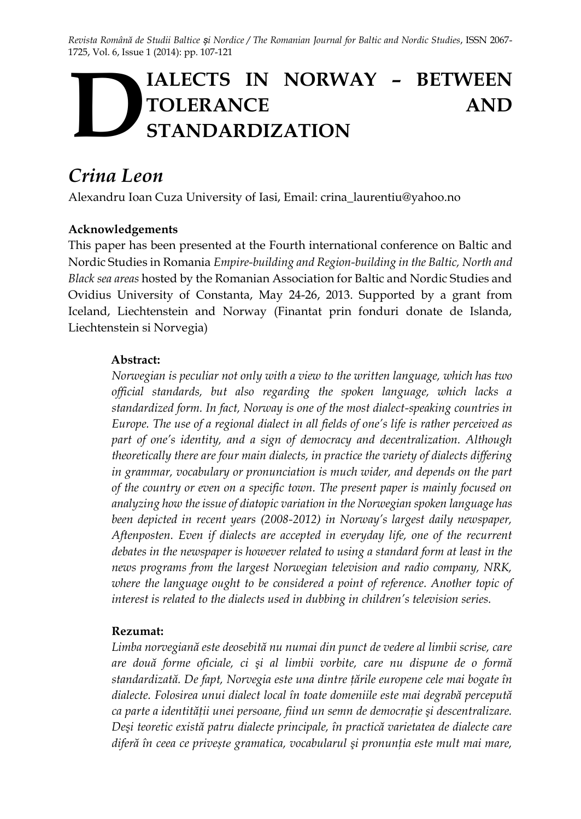*Revista Română de Studii Baltice și Nordice / The Romanian Journal for Baltic and Nordic Studies*, ISSN 2067- 1725, Vol. 6, Issue 1 (2014): pp. 107-121

# **IALECTS IN NORWAY – BETWEEN TOLERANCE AND STANDARDIZATION D**

# *Crina Leon*

Alexandru Ioan Cuza University of Iasi, Email: crina\_laurentiu@yahoo.no

#### **Acknowledgements**

This paper has been presented at the Fourth international conference on Baltic and Nordic Studies in Romania *Empire-building and Region-building in the Baltic, North and Black sea areas* hosted by the Romanian Association for Baltic and Nordic Studies and Ovidius University of Constanta, May 24-26, 2013. Supported by a grant from Iceland, Liechtenstein and Norway (Finantat prin fonduri donate de Islanda, Liechtenstein si Norvegia)

#### **Abstract:**

*Norwegian is peculiar not only with a view to the written language, which has two official standards, but also regarding the spoken language, which lacks a standardized form. In fact, Norway is one of the most dialect-speaking countries in Europe. The use of a regional dialect in all fields of one's life is rather perceived as part of one's identity, and a sign of democracy and decentralization. Although theoretically there are four main dialects, in practice the variety of dialects differing in grammar, vocabulary or pronunciation is much wider, and depends on the part of the country or even on a specific town. The present paper is mainly focused on analyzing how the issue of diatopic variation in the Norwegian spoken language has been depicted in recent years (2008-2012) in Norway's largest daily newspaper, Aftenposten. Even if dialects are accepted in everyday life, one of the recurrent debates in the newspaper is however related to using a standard form at least in the news programs from the largest Norwegian television and radio company, NRK, where the language ought to be considered a point of reference. Another topic of interest is related to the dialects used in dubbing in children's television series.* 

#### **Rezumat:**

*Limba norvegiană este deosebită nu numai din punct de vedere al limbii scrise, care are două forme oficiale, ci şi al limbii vorbite, care nu dispune de o formă standardizată. De fapt, Norvegia este una dintre ţările europene cele mai bogate în dialecte. Folosirea unui dialect local în toate domeniile este mai degrabă percepută ca parte a identităţii unei persoane, fiind un semn de democraţie şi descentralizare. Deşi teoretic există patru dialecte principale, în practică varietatea de dialecte care diferă în ceea ce privește gramatica, vocabularul şi pronunţia este mult mai mare,*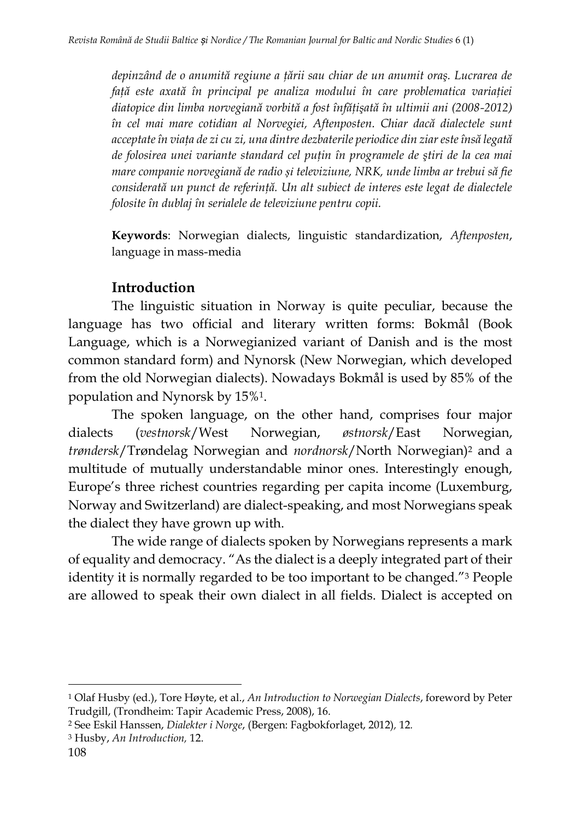*depinzând de o anumită regiune a ţării sau chiar de un anumit oraş. Lucrarea de faţă este axată în principal pe analiza modului în care problematica variaţiei diatopice din limba norvegiană vorbită a fost înfăţişată în ultimii ani (2008-2012) în cel mai mare cotidian al Norvegiei, Aftenposten. Chiar dacă dialectele sunt acceptate în viaţa de zi cu zi, una dintre dezbaterile periodice din ziar este însă legată de folosirea unei variante standard cel puţin în programele de ştiri de la cea mai mare companie norvegiană de radio și televiziune, NRK, unde limba ar trebui să fie considerată un punct de referinţă. Un alt subiect de interes este legat de dialectele folosite în dublaj în serialele de televiziune pentru copii.*

**Keywords**: Norwegian dialects, linguistic standardization, *Aftenposten*, language in mass-media

# **Introduction**

The linguistic situation in Norway is quite peculiar, because the language has two official and literary written forms: Bokmål (Book Language, which is a Norwegianized variant of Danish and is the most common standard form) and Nynorsk (New Norwegian, which developed from the old Norwegian dialects). Nowadays Bokmål is used by 85% of the population and Nynorsk by 15%1.

The spoken language, on the other hand, comprises four major dialects (*vestnorsk*/West Norwegian, *østnorsk*/East Norwegian, *trøndersk*/Trøndelag Norwegian and *nordnorsk*/North Norwegian)<sup>2</sup> and a multitude of mutually understandable minor ones. Interestingly enough, Europe's three richest countries regarding per capita income (Luxemburg, Norway and Switzerland) are dialect-speaking, and most Norwegians speak the dialect they have grown up with.

The wide range of dialects spoken by Norwegians represents a mark of equality and democracy. "As the dialect is a deeply integrated part of their identity it is normally regarded to be too important to be changed."<sup>3</sup> People are allowed to speak their own dialect in all fields. Dialect is accepted on

 $\overline{a}$ 

<sup>1</sup> Olaf Husby (ed.), Tore Høyte, et al., *An Introduction to Norwegian Dialects*, foreword by Peter Trudgill, (Trondheim: Tapir Academic Press, 2008), 16.

<sup>2</sup> See Eskil Hanssen, *Dialekter i Norge*, (Bergen: Fagbokforlaget, 2012)*,* 12*.*

<sup>3</sup> Husby, *An Introduction,* 12.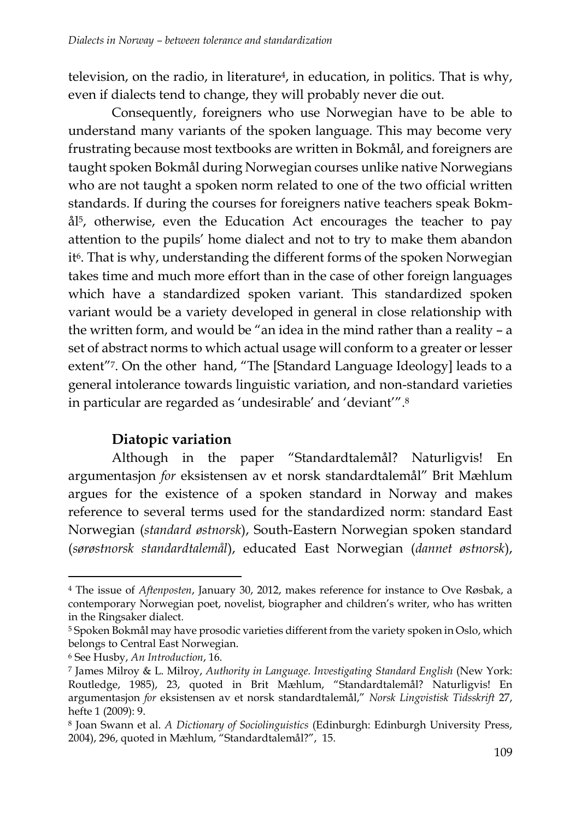television, on the radio, in literature<sup>4</sup>, in education, in politics. That is why, even if dialects tend to change, they will probably never die out.

Consequently, foreigners who use Norwegian have to be able to understand many variants of the spoken language. This may become very frustrating because most textbooks are written in Bokmål, and foreigners are taught spoken Bokmål during Norwegian courses unlike native Norwegians who are not taught a spoken norm related to one of the two official written standards. If during the courses for foreigners native teachers speak Bokmål5, otherwise, even the Education Act encourages the teacher to pay attention to the pupils' home dialect and not to try to make them abandon it<sup>6</sup>. That is why, understanding the different forms of the spoken Norwegian takes time and much more effort than in the case of other foreign languages which have a standardized spoken variant. This standardized spoken variant would be a variety developed in general in close relationship with the written form, and would be "an idea in the mind rather than a reality – a set of abstract norms to which actual usage will conform to a greater or lesser extent"7. On the other hand, "The [Standard Language Ideology] leads to a general intolerance towards linguistic variation, and non-standard varieties in particular are regarded as 'undesirable' and 'deviant'".<sup>8</sup>

# **Diatopic variation**

Although in the paper "Standardtalemål? Naturligvis! En argumentasjon *for* eksistensen av et norsk standardtalemål" Brit Mæhlum argues for the existence of a spoken standard in Norway and makes reference to several terms used for the standardized norm: standard East Norwegian (*standard østnorsk*), South-Eastern Norwegian spoken standard (*sørøstnorsk standardtalemål*), educated East Norwegian (*dannet østnorsk*),

<sup>4</sup> The issue of *Aftenposten*, January 30, 2012, makes reference for instance to Ove Røsbak, a contemporary [Norwegian](http://en.wikipedia.org/wiki/Norwegian_language) poet, novelist, biographer and children's writer, who has written in the Ringsaker dialect*.*

<sup>5</sup> Spoken Bokmål may have prosodic varieties different from the variety spoken in Oslo, which belongs to Central East Norwegian.

<sup>6</sup> See Husby, *An Introduction*, 16.

<sup>7</sup> James Milroy & L. Milroy, *Authority in Language. Investigating Standard English* (New York: Routledge, 1985), 23, quoted in Brit Mæhlum, "Standardtalemål? Naturligvis! En argumentasjon *for* eksistensen av et norsk standardtalemål," *Norsk Lingvistisk Tidsskrift* 27, hefte 1 (2009): 9.

<sup>8</sup> Joan Swann et al. *A Dictionary of Sociolinguistics* (Edinburgh: Edinburgh University Press, 2004), 296, quoted in Mæhlum, "Standardtalemål?", 15.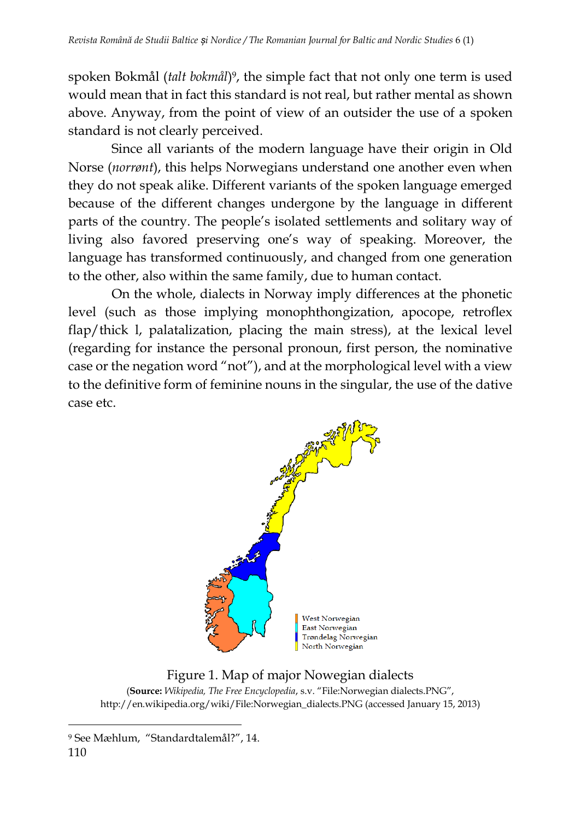spoken Bokmål (*talt bokmål*) <sup>9</sup>, the simple fact that not only one term is used would mean that in fact this standard is not real, but rather mental as shown above. Anyway, from the point of view of an outsider the use of a spoken standard is not clearly perceived.

Since all variants of the modern language have their origin in Old Norse (*norrønt*), this helps Norwegians understand one another even when they do not speak alike. Different variants of the spoken language emerged because of the different changes undergone by the language in different parts of the country. The people's isolated settlements and solitary way of living also favored preserving one's way of speaking. Moreover, the language has transformed continuously, and changed from one generation to the other, also within the same family, due to human contact.

On the whole, dialects in Norway imply differences at the phonetic level (such as those implying monophthongization, apocope, retroflex flap/thick l, palatalization, placing the main stress), at the lexical level (regarding for instance the personal pronoun, first person, the nominative case or the negation word "not"), and at the morphological level with a view to the definitive form of feminine nouns in the singular, the use of the dative case etc.



### Figure 1. Map of major Nowegian dialects

(**Source:** *Wikipedia, The Free Encyclopedia*, s.v. "File:Norwegian dialects.PNG", http://en.wikipedia.org/wiki/File:Norwegian\_dialects.PNG (accessed January 15, 2013)

l <sup>9</sup> See Mæhlum, "Standardtalemål?", 14.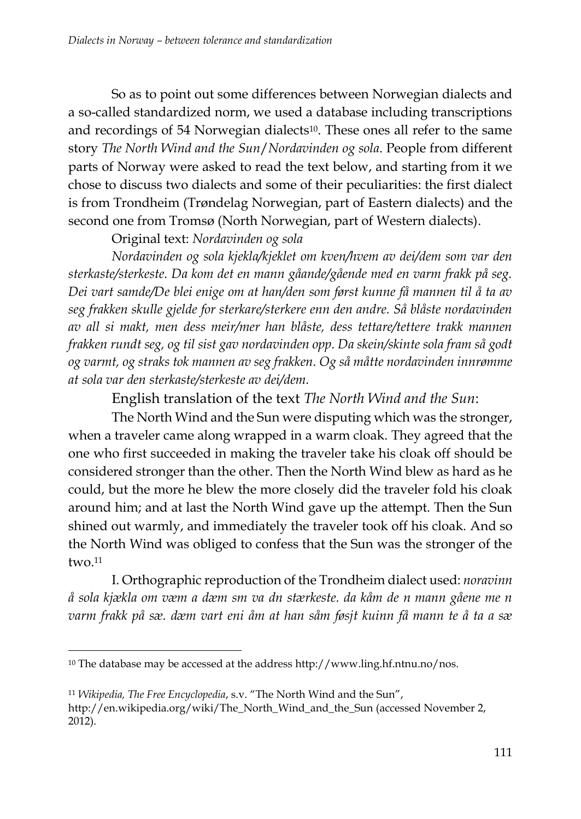So as to point out some differences between Norwegian dialects and a so-called standardized norm, we used a database including transcriptions and recordings of 54 Norwegian dialects<sup>10</sup>. These ones all refer to the same story *The North Wind and the Sun*/*Nordavinden og sola*. People from different parts of Norway were asked to read the text below, and starting from it we chose to discuss two dialects and some of their peculiarities: the first dialect is from Trondheim (Trøndelag Norwegian, part of Eastern dialects) and the second one from Tromsø (North Norwegian, part of Western dialects).

Original text: *Nordavinden og sola*

*Nordavinden og sola kjekla/kjeklet om kven/hvem av dei/dem som var den sterkaste/sterkeste. Da kom det en mann gåande/gående med en varm frakk på seg. Dei vart samde/De blei enige om at han/den som først kunne få mannen til å ta av seg frakken skulle gjelde for sterkare/sterkere enn den andre. Så blåste nordavinden av all si makt, men dess meir/mer han blåste, dess tettare/tettere trakk mannen frakken rundt seg, og til sist gav nordavinden opp. Da skein/skinte sola fram så godt og varmt, og straks tok mannen av seg frakken. Og så måtte nordavinden innrømme at sola var den sterkaste/sterkeste av dei/dem.* 

English translation of the text *The North Wind and the Sun*:

The North Wind and the Sun were disputing which was the stronger, when a traveler came along wrapped in a warm cloak. They agreed that the one who first succeeded in making the traveler take his cloak off should be considered stronger than the other. Then the North Wind blew as hard as he could, but the more he blew the more closely did the traveler fold his cloak around him; and at last the North Wind gave up the attempt. Then the Sun shined out warmly, and immediately the traveler took off his cloak. And so the North Wind was obliged to confess that the Sun was the stronger of the two. 11

I. Orthographic reproduction of the Trondheim dialect used: *noravinn å sola kjækla om væm a dæm sm va dn stærkeste. da kåm de n mann gåene me n varm frakk på sæ. dæm vart eni åm at han såm føsjt kuinn få mann te å ta a sæ* 

l

<sup>11</sup> *Wikipedia, The Free Encyclopedia*, s.v. "The North Wind and the Sun", http://en.wikipedia.org/wiki/The\_North\_Wind\_and\_the\_Sun (accessed November 2, 2012).

<sup>10</sup> The database may be accessed at the address [http://www.ling.hf.ntnu.no/nos.](http://www.ling.hf.ntnu.no/nos)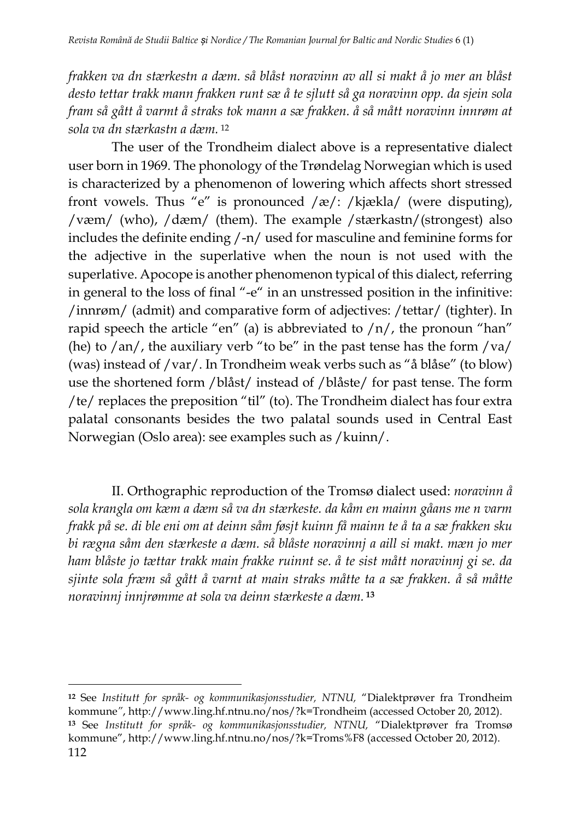*frakken va dn stærkestn a dæm. så blåst noravinn av all si makt å jo mer an blåst desto tettar trakk mann frakken runt sæ å te sjlutt så ga noravinn opp. da sjein sola fram så gått å varmt å straks tok mann a sæ frakken. å så mått noravinn innrøm at sola va dn stærkastn a dæm.* <sup>12</sup>

The user of the Trondheim dialect above is a representative dialect user born in 1969. The phonology of the Trøndelag Norwegian which is used is characterized by a phenomenon of lowering which affects short stressed front vowels. Thus "e" is pronounced  $\sqrt{\frac{g}{r}}$  /kjækla/ (were disputing), /væm/ (who), /dæm/ (them). The example /stærkastn/(strongest) also includes the definite ending /-n/ used for masculine and feminine forms for the adjective in the superlative when the noun is not used with the superlative. Apocope is another phenomenon typical of this dialect, referring in general to the loss of final "-e" in an unstressed position in the infinitive: /innrøm/ (admit) and comparative form of adjectives: /tettar/ (tighter). In rapid speech the article "en" (a) is abbreviated to  $/n/$ , the pronoun "han" (he) to  $\langle$  an $\rangle$ , the auxiliary verb "to be" in the past tense has the form  $\langle$  va $\rangle$ (was) instead of /var/. In Trondheim weak verbs such as "å blåse" (to blow) use the shortened form /blåst/ instead of /blåste/ for past tense. The form /te/ replaces the preposition "til" (to). The Trondheim dialect has four extra palatal consonants besides the two palatal sounds used in Central East Norwegian (Oslo area): see examples such as /kuinn/.

II. Orthographic reproduction of the Tromsø dialect used: *noravinn å sola krangla om kæm a dæm så va dn stærkeste. da kåm en mainn gåans me n varm frakk på se. di ble eni om at deinn såm føsjt kuinn få mainn te å ta a sæ frakken sku bi rægna såm den stærkeste a dæm. så blåste noravinnj a aill si makt. mæn jo mer ham blåste jo tættar trakk main frakke ruinnt se. å te sist mått noravinnj gi se. da sjinte sola fræm så gått å varnt at main straks måtte ta a sæ frakken. å så måtte noravinnj innjrømme at sola va deinn stærkeste a dæm.* **13**

 $\overline{a}$ 

**<sup>12</sup>** See *Institutt for språk- [og kommunikasjonsstudier, NTNU,](http://www.hf.ntnu.no/isk/)* "Dialektprøver fra Trondheim kommune*"*, http://www.ling.hf.ntnu.no/nos/?k=Trondheim (accessed October 20, 2012). **<sup>13</sup>** See *Institutt for språk- [og kommunikasjonsstudier, NTNU,](http://www.hf.ntnu.no/isk/)* "Dialektprøver fra Tromsø kommune", http://www.ling.hf.ntnu.no/nos/?k=Troms%F8 (accessed October 20, 2012).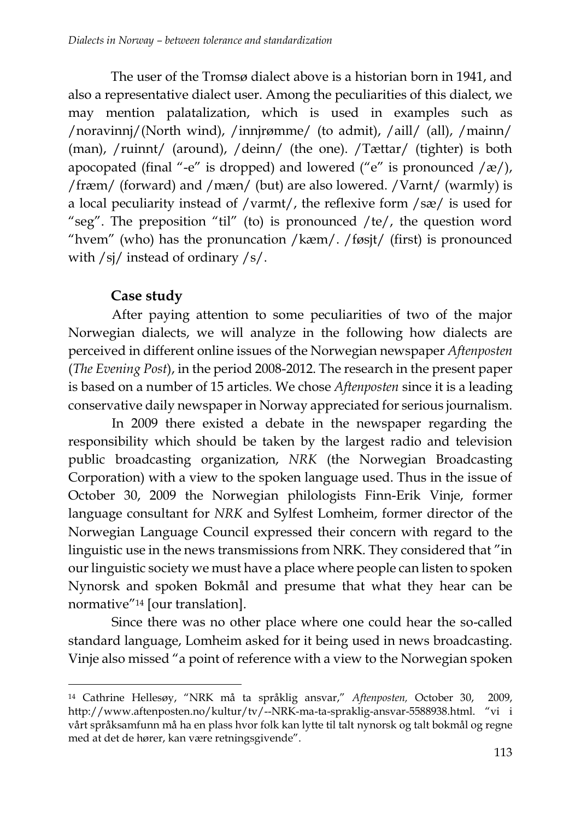The user of the Tromsø dialect above is a historian born in 1941, and also a representative dialect user. Among the peculiarities of this dialect, we may mention palatalization, which is used in examples such as /noravinnj/(North wind), /innjrømme/ (to admit), /aill/ (all), /mainn/ (man), /ruinnt/ (around), /deinn/ (the one). /Tættar/ (tighter) is both apocopated (final "-e" is dropped) and lowered ("e" is pronounced  $/\alpha$ ), /fræm/ (forward) and /mæn/ (but) are also lowered. /Varnt/ (warmly) is a local peculiarity instead of /varmt/, the reflexive form /sæ/ is used for "seg". The preposition "til" (to) is pronounced /te/, the question word "hvem" (who) has the pronuncation /kæm/. /føsjt/ (first) is pronounced with /sj/ instead of ordinary /s/.

# **Case study**

 $\overline{a}$ 

After paying attention to some peculiarities of two of the major Norwegian dialects, we will analyze in the following how dialects are perceived in different online issues of the Norwegian newspaper *Aftenposten*  (*The Evening Post*), in the period 2008-2012. The research in the present paper is based on a number of 15 articles. We chose *Aftenposten* since it is a leading conservative daily newspaper in Norway appreciated for serious journalism.

In 2009 there existed a debate in the newspaper regarding the responsibility which should be taken by the largest radio and television public broadcasting organization, *NRK* (the Norwegian Broadcasting Corporation) with a view to the spoken language used. Thus in the issue of October 30, 2009 the Norwegian philologists Finn-Erik Vinje, former language consultant for *NRK* and Sylfest Lomheim, former director of the Norwegian Language Council expressed their concern with regard to the linguistic use in the news transmissions from NRK. They considered that "in our linguistic society we must have a place where people can listen to spoken Nynorsk and spoken Bokmål and presume that what they hear can be normative"<sup>14</sup> [our translation].

Since there was no other place where one could hear the so-called standard language, Lomheim asked for it being used in news broadcasting. Vinje also missed "a point of reference with a view to the Norwegian spoken

<sup>14</sup> Cathrine Hellesøy, "NRK må ta språklig ansvar," *Aftenposten,* October 30, 2009, http://www.aftenposten.no/kultur/tv/--NRK-ma-ta-spraklig-ansvar-5588938.html. "vi i vårt språksamfunn må ha en plass hvor folk kan lytte til talt nynorsk og talt bokmål og regne med at det de hører, kan være retningsgivende".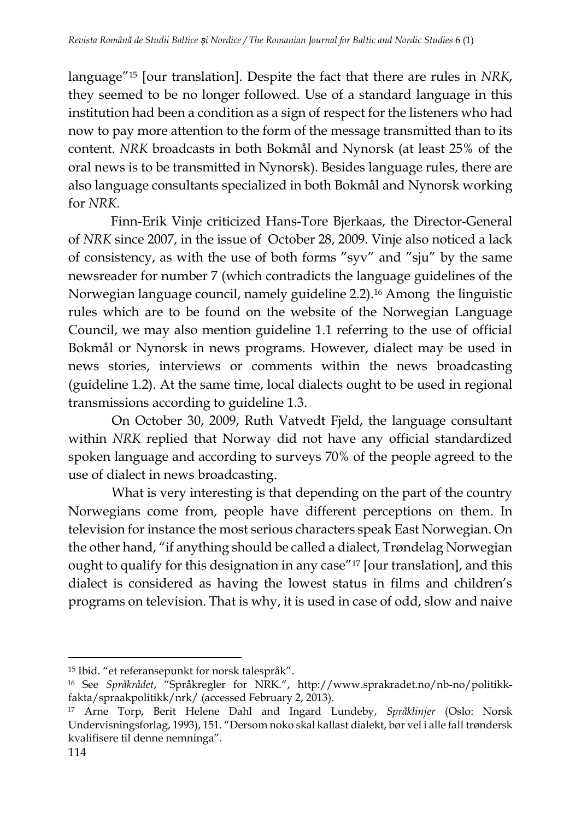language"<sup>15</sup> [our translation]. Despite the fact that there are rules in *NRK*, they seemed to be no longer followed. Use of a standard language in this institution had been a condition as a sign of respect for the listeners who had now to pay more attention to the form of the message transmitted than to its content. *NRK* broadcasts in both Bokmål and Nynorsk (at least 25% of the oral news is to be transmitted in Nynorsk). Besides language rules, there are also language consultants specialized in both Bokmål and Nynorsk working for *NRK*.

Finn-Erik Vinje criticized Hans-Tore Bjerkaas, the [Director-General](http://en.wikipedia.org/wiki/Director-General_of_the_NRK) of *NRK* since 2007, in the issue of October 28, 2009. Vinje also noticed a lack of consistency, as with the use of both forms "syv" and "sju" by the same newsreader for number 7 (which contradicts the language guidelines of the Norwegian language council, namely guideline 2.2).<sup>16</sup> Among the linguistic rules which are to be found on the website of the Norwegian Language Council, we may also mention guideline 1.1 referring to the use of official Bokmål or Nynorsk in news programs. However, dialect may be used in news stories, interviews or comments within the news broadcasting (guideline 1.2). At the same time, local dialects ought to be used in regional transmissions according to guideline 1.3.

On October 30, 2009, Ruth Vatvedt Fjeld, the language consultant within *NRK* replied that Norway did not have any official standardized spoken language and according to surveys 70% of the people agreed to the use of dialect in news broadcasting.

What is very interesting is that depending on the part of the country Norwegians come from, people have different perceptions on them. In television for instance the most serious characters speak East Norwegian. On the other hand, "if anything should be called a dialect, Trøndelag Norwegian ought to qualify for this designation in any case"<sup>17</sup> [our translation], and this dialect is considered as having the lowest status in films and children's programs on television. That is why, it is used in case of odd, slow and naive

<sup>15</sup> Ibid. "et referansepunkt for norsk talespråk".

<sup>16</sup> See *Språkrådet*, "Språkregler for NRK.", [http://www.sprakradet.no/nb-no/politikk](http://www.sprakradet.no/nb-no/politikk-fakta/spraakpolitikk/nrk/)[fakta/spraakpolitikk/nrk/](http://www.sprakradet.no/nb-no/politikk-fakta/spraakpolitikk/nrk/) (accessed February 2, 2013).

<sup>17</sup> Arne Torp, Berit Helene Dahl and Ingard Lundeby, *Språklinjer* (Oslo: Norsk Undervisningsforlag, 1993), 151. "Dersom noko skal kallast dialekt, bør vel i alle fall trøndersk kvalifisere til denne nemninga".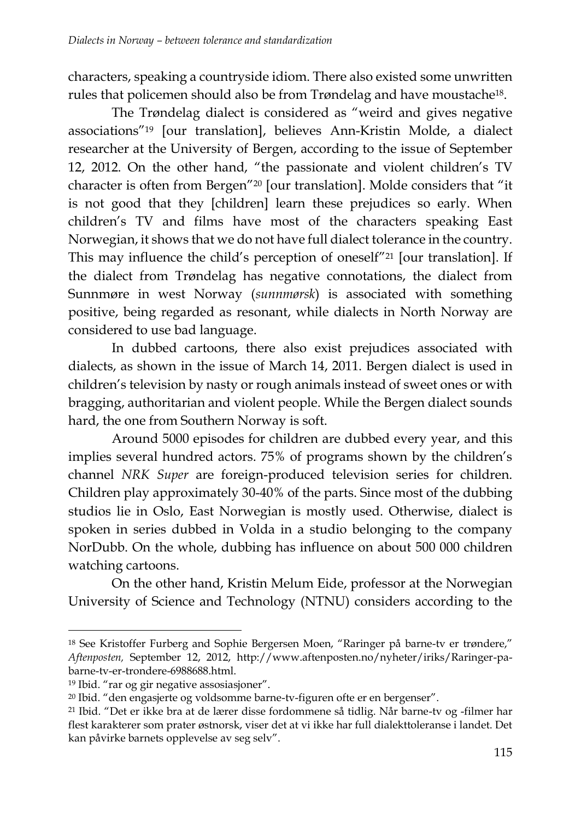characters, speaking a countryside idiom. There also existed some unwritten rules that policemen should also be from Trøndelag and have moustache18.

The Trøndelag dialect is considered as "weird and gives negative associations"<sup>19</sup> [our translation], believes Ann-Kristin Molde, a dialect researcher at the University of Bergen, according to the issue of September 12, 2012. On the other hand, "the passionate and violent children's TV character is often from Bergen"<sup>20</sup> [our translation]. Molde considers that "it is not good that they [children] learn these prejudices so early. When children's TV and films have most of the characters speaking East Norwegian, it shows that we do not have full dialect tolerance in the country. This may influence the child's perception of oneself"<sup>21</sup> [our translation]. If the dialect from Trøndelag has negative connotations, the dialect from Sunnmøre in west Norway (*sunnmørsk*) is associated with something positive, being regarded as resonant, while dialects in North Norway are considered to use bad language.

In dubbed cartoons, there also exist prejudices associated with dialects, as shown in the issue of March 14, 2011. Bergen dialect is used in children's television by nasty or rough animals instead of sweet ones or with bragging, authoritarian and violent people. While the Bergen dialect sounds hard, the one from Southern Norway is soft.

Around 5000 episodes for children are dubbed every year, and this implies several hundred actors. 75% of programs shown by the children's channel *NRK Super* are foreign-produced television series for children. Children play approximately 30-40% of the parts. Since most of the dubbing studios lie in Oslo, East Norwegian is mostly used. Otherwise, dialect is spoken in series dubbed in Volda in a studio belonging to the company NorDubb. On the whole, dubbing has influence on about 500 000 children watching cartoons.

On the other hand, Kristin Melum Eide, professor at the Norwegian University of Science and Technology (NTNU) considers according to the

<sup>18</sup> See Kristoffer Furberg and Sophie Bergersen Moen, "Raringer på barne-tv er trøndere," *Aftenposten,* September 12, 2012, http://www.aftenposten.no/nyheter/iriks/Raringer-pabarne-tv-er-trondere-6988688.html.

<sup>19</sup> Ibid. "rar og gir negative assosiasjoner".

<sup>20</sup> Ibid. "den engasjerte og voldsomme barne-tv-figuren ofte er en bergenser".

<sup>21</sup> Ibid. "Det er ikke bra at de lærer disse fordommene så tidlig. Når barne-tv og -filmer har flest karakterer som prater østnorsk, viser det at vi ikke har full dialekttoleranse i landet. Det kan påvirke barnets opplevelse av seg selv".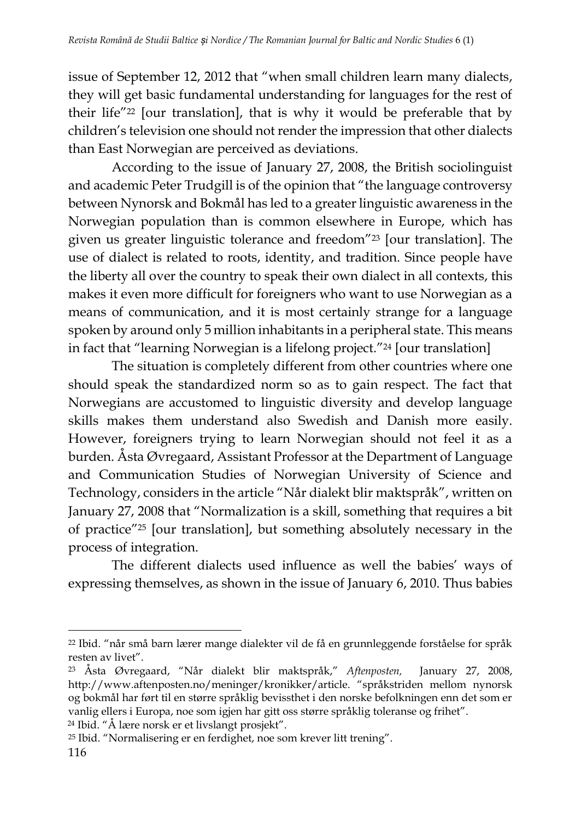issue of September 12, 2012 that "when small children learn many dialects, they will get basic fundamental understanding for languages for the rest of their life"<sup>22</sup> [our translation], that is why it would be preferable that by children's television one should not render the impression that other dialects than East Norwegian are perceived as deviations.

According to the issue of January 27, 2008, the British sociolinguist and academic Peter Trudgill is of the opinion that "the language controversy between Nynorsk and Bokmål has led to a greater linguistic awareness in the Norwegian population than is common elsewhere in Europe, which has given us greater linguistic tolerance and freedom"<sup>23</sup> [our translation]. The use of dialect is related to roots, identity, and tradition. Since people have the liberty all over the country to speak their own dialect in all contexts, this makes it even more difficult for foreigners who want to use Norwegian as a means of communication, and it is most certainly strange for a language spoken by around only 5 million inhabitants in a peripheral state. This means in fact that "learning Norwegian is a lifelong project."<sup>24</sup> [our translation]

The situation is completely different from other countries where one should speak the standardized norm so as to gain respect. The fact that Norwegians are accustomed to linguistic diversity and develop language skills makes them understand also Swedish and Danish more easily. However, foreigners trying to learn Norwegian should not feel it as a burden. Åsta Øvregaard, Assistant Professor at the Department of Language and Communication Studies of Norwegian University of Science and Technology, considers in the article "Når dialekt blir maktspråk", written on January 27, 2008 that "Normalization is a skill, something that requires a bit of practice"<sup>25</sup> [our translation], but something absolutely necessary in the process of integration.

The different dialects used influence as well the babies' ways of expressing themselves, as shown in the issue of January 6, 2010. Thus babies

<sup>24</sup> Ibid. "Å lære norsk er et livslangt prosjekt".

<sup>22</sup> Ibid. "når små barn lærer mange dialekter vil de få en grunnleggende forståelse for språk resten av livet".

<sup>23</sup> Åsta Øvregaard, "Når dialekt blir maktspråk," *Aftenposten,* January 27, 2008, http://www.aftenposten.no/meninger/kronikker/article. "språkstriden mellom nynorsk og bokmål har ført til en større språklig bevissthet i den norske befolkningen enn det som er vanlig ellers i Europa, noe som igjen har gitt oss større språklig toleranse og frihet".

<sup>25</sup> Ibid. "Normalisering er en ferdighet, noe som krever litt trening".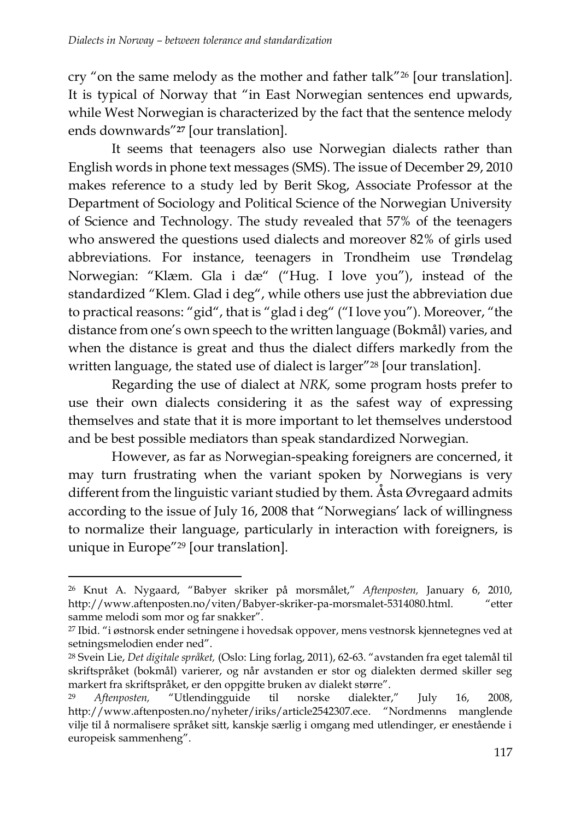cry "on the same melody as the mother and father talk"<sup>26</sup> [our translation]. It is typical of Norway that "in East Norwegian sentences end upwards, while West Norwegian is characterized by the fact that the sentence melody ends downwards"**<sup>27</sup>** [our translation].

It seems that teenagers also use Norwegian dialects rather than English words in phone text messages (SMS). The issue of December 29, 2010 makes reference to a study led by Berit Skog, Associate Professor at the Department of Sociology and Political Science of the Norwegian University of Science and Technology. The study revealed that 57% of the teenagers who answered the questions used dialects and moreover 82% of girls used abbreviations. For instance, teenagers in Trondheim use Trøndelag Norwegian: "Klæm. Gla i dæ" ("Hug. I love you"), instead of the standardized "Klem. Glad i deg", while others use just the abbreviation due to practical reasons: "gid", that is "glad i deg" ("I love you"). Moreover, "the distance from one's own speech to the written language (Bokmål) varies, and when the distance is great and thus the dialect differs markedly from the written language, the stated use of dialect is larger"<sup>28</sup> [our translation].

Regarding the use of dialect at *NRK,* some program hosts prefer to use their own dialects considering it as the safest way of expressing themselves and state that it is more important to let themselves understood and be best possible mediators than speak standardized Norwegian.

However, as far as Norwegian-speaking foreigners are concerned, it may turn frustrating when the variant spoken by Norwegians is very different from the linguistic variant studied by them. Åsta Øvregaard admits according to the issue of July 16, 2008 that "Norwegians' lack of willingness to normalize their language, particularly in interaction with foreigners, is unique in Europe"<sup>29</sup> [our translation].

<sup>26</sup> Knut A. Nygaard, "Babyer skriker på morsmålet," *Aftenposten,* January 6, 2010, http://www.aftenposten.no/viten/Babyer-skriker-pa-morsmalet-5314080.html. "etter samme melodi som mor og far snakker".

<sup>27</sup> Ibid. "i østnorsk ender setningene i hovedsak oppover, mens vestnorsk kjennetegnes ved at setningsmelodien ender ned".

<sup>28</sup> Svein Lie, *Det digitale språket,* (Oslo: Ling forlag, 2011), 62-63. "avstanden fra eget talemål til skriftspråket (bokmål) varierer, og når avstanden er stor og dialekten dermed skiller seg markert fra skriftspråket, er den oppgitte bruken av dialekt større".

<sup>29</sup> *Aftenposten,* "Utlendingguide til norske dialekter," July 16, 2008, http://www.aftenposten.no/nyheter/iriks/article2542307.ece. "Nordmenns manglende vilje til å normalisere språket sitt, kanskje særlig i omgang med utlendinger, er enestående i europeisk sammenheng".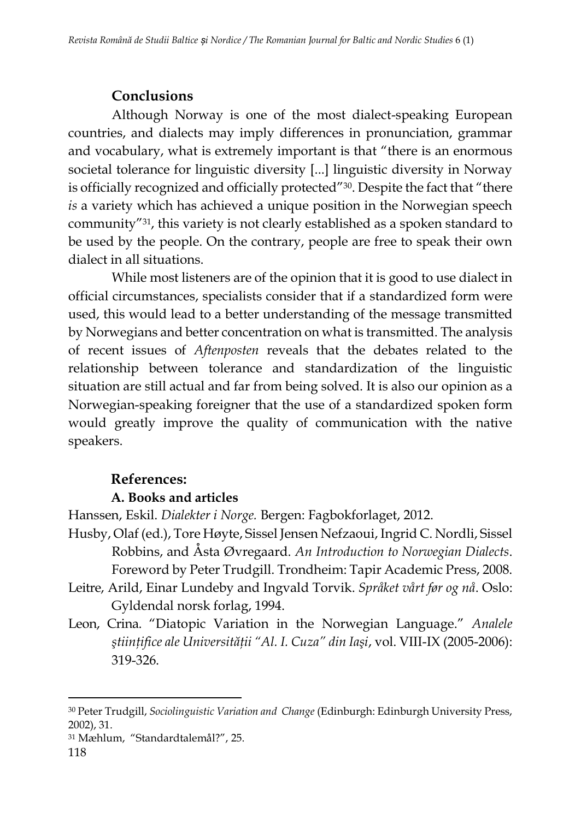## **Conclusions**

Although Norway is one of the most dialect-speaking European countries, and dialects may imply differences in pronunciation, grammar and vocabulary, what is extremely important is that "there is an enormous societal tolerance for linguistic diversity [...] linguistic diversity in Norway is officially recognized and officially protected"30. Despite the fact that "there *is* a variety which has achieved a unique position in the Norwegian speech community"31, this variety is not clearly established as a spoken standard to be used by the people. On the contrary, people are free to speak their own dialect in all situations.

While most listeners are of the opinion that it is good to use dialect in official circumstances, specialists consider that if a standardized form were used, this would lead to a better understanding of the message transmitted by Norwegians and better concentration on what is transmitted. The analysis of recent issues of *Aftenposten* reveals that the debates related to the relationship between tolerance and standardization of the linguistic situation are still actual and far from being solved. It is also our opinion as a Norwegian-speaking foreigner that the use of a standardized spoken form would greatly improve the quality of communication with the native speakers.

### **References:**

#### **A. Books and articles**

Hanssen, Eskil. *Dialekter i Norge.* Bergen: Fagbokforlaget, 2012.

- Husby, Olaf (ed.), Tore Høyte, Sissel Jensen Nefzaoui, Ingrid C. Nordli, Sissel Robbins, and Åsta Øvregaard. *An Introduction to Norwegian Dialects*. Foreword by Peter Trudgill. Trondheim: Tapir Academic Press, 2008.
- Leitre, Arild, Einar Lundeby and Ingvald Torvik. *Språket vårt før og nå*. Oslo: Gyldendal norsk forlag, 1994.
- Leon, Crina. "Diatopic Variation in the Norwegian Language." *Analele ştiinţifice ale Universităţii "Al. I. Cuza" din Iaşi*, vol. VIII-IX (2005-2006): 319-326.

<sup>30</sup> Peter Trudgill, *Sociolinguistic Variation and Change* (Edinburgh: Edinburgh University Press, 2002), 31.

<sup>31</sup> Mæhlum, "Standardtalemål?", 25.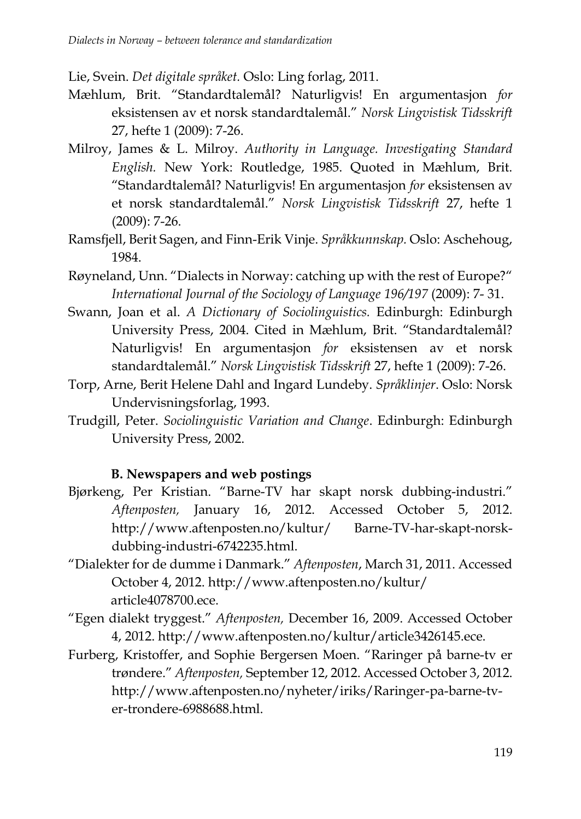Lie, Svein. *Det digitale språket.* Oslo: Ling forlag, 2011.

- Mæhlum, Brit. "Standardtalemål? Naturligvis! En argumentasjon *for* eksistensen av et norsk standardtalemål." *Norsk Lingvistisk Tidsskrift* 27, hefte 1 (2009): 7-26.
- Milroy, James & L. Milroy. *Authority in Language. Investigating Standard English.* New York: Routledge, 1985. Quoted in Mæhlum, Brit. "Standardtalemål? Naturligvis! En argumentasjon *for* eksistensen av et norsk standardtalemål." *Norsk Lingvistisk Tidsskrift* 27, hefte 1 (2009): 7-26.
- Ramsfjell, Berit Sagen, and Finn-Erik Vinje. *Språkkunnskap.* Oslo: Aschehoug, 1984.
- Røyneland, Unn. "Dialects in Norway: catching up with the rest of Europe?" *International Journal of the Sociology of Language 196/197* (2009): 7- 31.
- Swann, Joan et al. *A Dictionary of Sociolinguistics.* Edinburgh: Edinburgh University Press, 2004. Cited in Mæhlum, Brit. "Standardtalemål? Naturligvis! En argumentasjon *for* eksistensen av et norsk standardtalemål." *Norsk Lingvistisk Tidsskrift* 27, hefte 1 (2009): 7-26.
- Torp, Arne, Berit Helene Dahl and Ingard Lundeby. *Språklinjer*. Oslo: Norsk Undervisningsforlag, 1993.
- Trudgill, Peter. *Sociolinguistic Variation and Change*. Edinburgh: Edinburgh University Press, 2002.

# **B. Newspapers and web postings**

- Bjørkeng, Per Kristian. "Barne-TV har skapt norsk dubbing-industri." *Aftenposten,* January 16, 2012. Accessed October 5, 2012. http://www.aftenposten.no/kultur/ Barne-TV-har-skapt-norskdubbing-industri-6742235.html.
- "Dialekter for de dumme i Danmark." *Aftenposten*, March 31, 2011. Accessed October 4, 2012. http://www.aftenposten.no/kultur/ article4078700.ece.
- "Egen dialekt tryggest." *Aftenposten,* December 16, 2009. Accessed October 4, 2012. http://www.aftenposten.no/kultur/article3426145.ece.
- Furberg, Kristoffer, and Sophie Bergersen Moen. "Raringer på barne-tv er trøndere." *Aftenposten,* September 12, 2012. Accessed October 3, 2012. http://www.aftenposten.no/nyheter/iriks/Raringer-pa-barne-tver-trondere-6988688.html.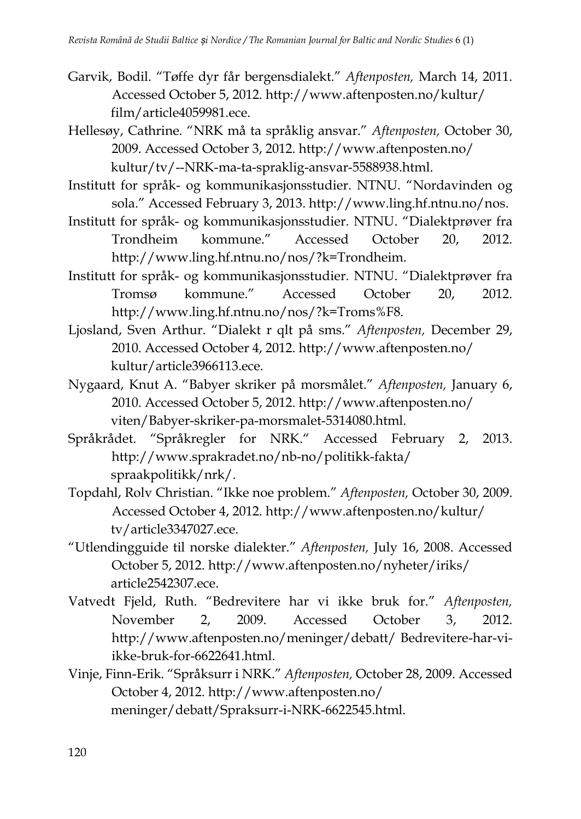- Garvik, Bodil. "Tøffe dyr får bergensdialekt." *Aftenposten,* March 14, 2011. Accessed October 5, 2012. http://www.aftenposten.no/kultur/ film/article4059981.ece.
- Hellesøy, Cathrine. "NRK må ta språklig ansvar." *Aftenposten,* October 30, 2009. Accessed October 3, 2012. http://www.aftenposten.no/ kultur/tv/--NRK-ma-ta-spraklig-ansvar-5588938.html.
- Institutt for språk- [og kommunikasjonsstudier. NTNU.](http://www.hf.ntnu.no/isk/) "[Nordavinden og](http://www.ling.hf.ntnu.no/nos/)  [sola](http://www.ling.hf.ntnu.no/nos/)." Accessed February 3, 2013. [http://www.ling.hf.ntnu.no/nos.](http://www.ling.hf.ntnu.no/nos)
- Institutt for språk- [og kommunikasjonsstudier. NTNU.](http://www.hf.ntnu.no/isk/) "Dialektprøver fra Trondheim kommune." Accessed October 20, 2012. http://www.ling.hf.ntnu.no/nos/?k=Trondheim.
- Institutt for språk- [og kommunikasjonsstudier. NTNU.](http://www.hf.ntnu.no/isk/) "Dialektprøver fra Tromsø kommune." Accessed October 20, 2012. http://www.ling.hf.ntnu.no/nos/?k=Troms%F8.
- Ljosland, Sven Arthur. "Dialekt r qlt på sms." *Aftenposten,* December 29, 2010. Accessed October 4, 2012. http://www.aftenposten.no/ kultur/article3966113.ece.
- Nygaard, Knut A. "Babyer skriker på morsmålet." *Aftenposten,* January 6, 2010. Accessed October 5, 2012. http://www.aftenposten.no/ viten/Babyer-skriker-pa-morsmalet-5314080.html.
- Språkrådet. "Språkregler for NRK." Accessed February 2, 2013. http://www.sprakradet.no/nb-no/politikk-fakta/ spraakpolitikk/nrk/.
- Topdahl, Rolv Christian. "Ikke noe problem." *Aftenposten,* October 30, 2009. Accessed October 4, 2012. http://www.aftenposten.no/kultur/ tv/article3347027.ece.
- "Utlendingguide til norske dialekter." *Aftenposten,* July 16, 2008. Accessed October 5, 2012. http://www.aftenposten.no/nyheter/iriks/ article2542307.ece.
- Vatvedt Fjeld, Ruth. "Bedrevitere har vi ikke bruk for." *Aftenposten,* November 2, 2009. Accessed October 3, 2012. http://www.aftenposten.no/meninger/debatt/ Bedrevitere-har-viikke-bruk-for-6622641.html.
- Vinje, Finn-Erik. "Språksurr i NRK." *Aftenposten,* October 28, 2009. Accessed October 4, 2012. http://www.aftenposten.no/ meninger/debatt/Spraksurr-i-NRK-6622545.html.